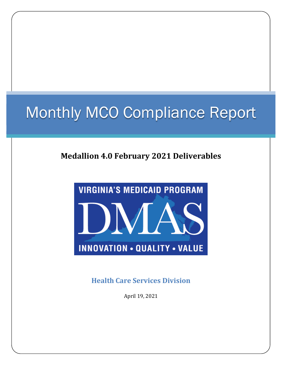# Monthly MCO Compliance Report

# **Medallion 4.0 February 2021 Deliverables**



**Health Care Services Division**

April 19, 2021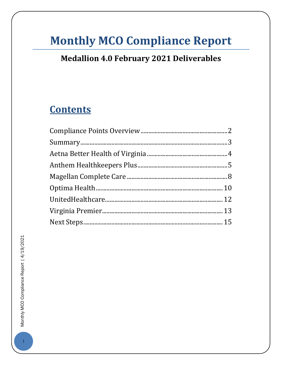# **Monthly MCO Compliance Report**

# **Medallion 4.0 February 2021 Deliverables**

# **Contents**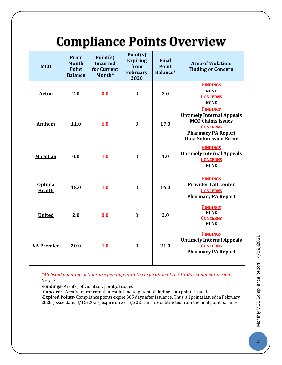# **Compliance Points Overview**

<span id="page-2-0"></span>

| <b>MCO</b>                     | <b>Prior</b><br><b>Month</b><br><b>Point</b><br><b>Balance</b> | Point(s)<br><b>Incurred</b><br>for Current<br>Month* | Point(s)<br><b>Expiring</b><br>from<br><b>February</b><br>2020 | <b>Final</b><br><b>Point</b><br><b>Balance*</b> | <b>Area of Violation:</b><br><b>Finding or Concern</b>                                                                                                          |
|--------------------------------|----------------------------------------------------------------|------------------------------------------------------|----------------------------------------------------------------|-------------------------------------------------|-----------------------------------------------------------------------------------------------------------------------------------------------------------------|
| <b>Aetna</b>                   | 2.0                                                            | 0.0                                                  | $\boldsymbol{0}$                                               | 2.0                                             | <b>FINDINGS</b><br><b>NONE</b><br><b>CONCERNS</b><br><b>NONE</b>                                                                                                |
| <b>Anthem</b>                  | 11.0                                                           | 6.0                                                  | $\boldsymbol{0}$                                               | 17.0                                            | <b>FINDINGS</b><br><b>Untimely Internal Appeals</b><br><b>MCO Claims Issues</b><br><b>CONCERNS</b><br><b>Pharmacy PA Report</b><br><b>Data Submission Error</b> |
| <b>Magellan</b>                | 0.0                                                            | 1.0                                                  | $\mathbf{0}$                                                   | 1.0                                             | <b>FINDINGS</b><br><b>Untimely Internal Appeals</b><br><b>CONCERNS</b><br><b>NONE</b>                                                                           |
| <b>Optima</b><br><b>Health</b> | 15.0                                                           | 1.0                                                  | $\boldsymbol{0}$                                               | 16.0                                            | <b>FINDINGS</b><br><b>Provider Call Center</b><br><b>CONCERNS</b><br><b>Pharmacy PA Report</b>                                                                  |
| <b>United</b>                  | 2.0                                                            | 0.0                                                  | $\boldsymbol{0}$                                               | 2.0                                             | <b>FINDINGS</b><br><b>NONE</b><br><b>CONCERNS</b><br><b>NONE</b>                                                                                                |
| <b>VA Premier</b>              | 20.0                                                           | 1.0                                                  | $\mathbf{0}$                                                   | 21.0                                            | <b>FINDINGS</b><br><b>Untimely Internal Appeals</b><br><b>CONCERNS</b><br><b>Pharmacy PA Report</b>                                                             |

*\*All listed point infractions are pending until the expiration of the 15-day comment period.* Notes:

**-Findings-** Area(s) of violation; point(s) issued.

**-Concerns-** Area(s) of concern that could lead to potential findings; **no** points issued.

-**Expired Points-** Compliance points expire 365 days after issuance. Thus, all points issued in February 2020 (Issue date: 3/15/2020) expire on 3/15/2021 and are subtracted from the final point balance.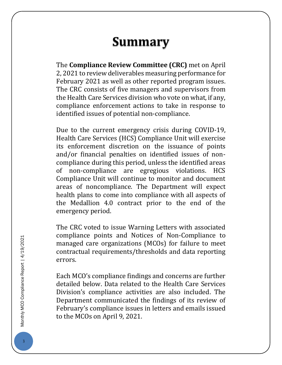# **Summary**

<span id="page-3-0"></span>The **Compliance Review Committee (CRC)** met on April 2, 2021 to review deliverables measuring performance for February 2021 as well as other reported program issues. The CRC consists of five managers and supervisors from the Health Care Services division who vote on what, if any, compliance enforcement actions to take in response to identified issues of potential non-compliance.

Due to the current emergency crisis during COVID-19, Health Care Services (HCS) Compliance Unit will exercise its enforcement discretion on the issuance of points and/or financial penalties on identified issues of noncompliance during this period, unless the identified areas of non-compliance are egregious violations. HCS Compliance Unit will continue to monitor and document areas of noncompliance. The Department will expect health plans to come into compliance with all aspects of the Medallion 4.0 contract prior to the end of the emergency period.

The CRC voted to issue Warning Letters with associated compliance points and Notices of Non-Compliance to managed care organizations (MCOs) for failure to meet contractual requirements/thresholds and data reporting errors.

<span id="page-3-1"></span>Each MCO's compliance findings and concerns are further detailed below. Data related to the Health Care Services Division's compliance activities are also included. The Department communicated the findings of its review of February's compliance issues in letters and emails issued to the MCOs on April 9, 2021.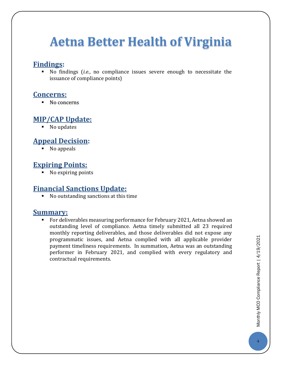# **Aetna Better Health of Virginia**

### **Findings:**

 No findings (*i.e.*, no compliance issues severe enough to necessitate the issuance of compliance points)

### **Concerns:**

■ No concerns

### **MIP/CAP Update:**

■ No updates

# **Appeal Decision:**

No appeals

## **Expiring Points:**

No expiring points

### **Financial Sanctions Update:**

No outstanding sanctions at this time

### **Summary:**

 For deliverables measuring performance for February 2021, Aetna showed an outstanding level of compliance. Aetna timely submitted all 23 required monthly reporting deliverables, and those deliverables did not expose any programmatic issues, and Aetna complied with all applicable provider payment timeliness requirements. In summation, Aetna was an outstanding performer in February 2021, and complied with every regulatory and contractual requirements.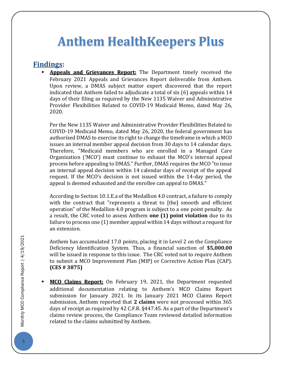# <span id="page-5-0"></span>**Anthem HealthKeepers Plus**

### **Findings:**

 **Appeals and Grievances Report:** The Department timely received the February 2021 Appeals and Grievances Report deliverable from Anthem. Upon review, a DMAS subject matter expert discovered that the report indicated that Anthem failed to adjudicate a total of six (6) appeals within 14 days of their filing as required by the New 1135 Waiver and Administrative Provider Flexibilities Related to COVID-19 Medicaid Memo, dated May 26, 2020.

Per the New 1135 Waiver and Administrative Provider Flexibilities Related to COVID-19 Medicaid Memo, dated May 26, 2020, the federal government has authorized DMAS to exercise its right to change the timeframe in which a MCO issues an internal member appeal decision from 30 days to 14 calendar days. Therefore, "Medicaid members who are enrolled in a Managed Care Organization ('MCO') must continue to exhaust the MCO's internal appeal process before appealing to DMAS." Further, DMAS requires the MCO "to issue an internal appeal decision within 14 calendar days of receipt of the appeal request. If the MCO's decision is not issued within the 14-day period, the appeal is deemed exhausted and the enrollee can appeal to DMAS."

According to Section 10.1.E.a of the Medallion 4.0 contract, a failure to comply with the contract that "represents a threat to [the] smooth and efficient operation" of the Medallion 4.0 program is subject to a one point penalty. As a result, the CRC voted to assess Anthem **one (1) point violation** due to its failure to process one (1) member appeal within 14 days without a request for an extension.

Anthem has accumulated 17.0 points, placing it in Level 2 on the Compliance Deficiency Identification System. Thus, a financial sanction of **\$5,000.00** will be issued in response to this issue. The CRC voted not to require Anthem to submit a MCO Improvement Plan (MIP) or Corrective Action Plan (CAP). **(CES # 3875)**

 **MCO Claims Report:** On February 19, 2021, the Department requested additional documentation relating to Anthem's MCO Claims Report submission for January 2021. In its January 2021 MCO Claims Report submission, Anthem reported that **2 claims** were not processed within 365 days of receipt as required by 42 C.F.R. §447.45. As a part of the Department's claims review process, the Compliance Team reviewed detailed information related to the claims submitted by Anthem.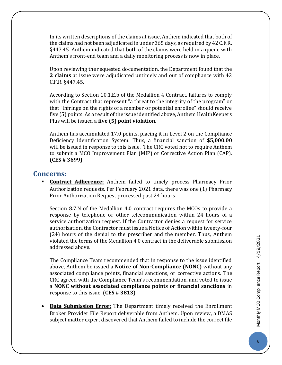In its written descriptions of the claims at issue, Anthem indicated that both of the claims had not been adjudicated in under 365 days, as required by 42 C.F.R. §447.45. Anthem indicated that both of the claims were held in a queue with Anthem's front-end team and a daily monitoring process is now in place.

Upon reviewing the requested documentation, the Department found that the **2 claims** at issue were adjudicated untimely and out of compliance with 42 C.F.R. §447.45.

According to Section 10.1.E.b of the Medallion 4 Contract, failures to comply with the Contract that represent "a threat to the integrity of the program" or that "infringe on the rights of a member or potential enrollee" should receive five (5) points. As a result of the issue identified above, Anthem HealthKeepers Plus will be issued a **five (5) point violation**.

Anthem has accumulated 17.0 points, placing it in Level 2 on the Compliance Deficiency Identification System. Thus, a financial sanction of **\$5,000.00** will be issued in response to this issue. The CRC voted not to require Anthem to submit a MCO Improvement Plan (MIP) or Corrective Action Plan (CAP). **(CES # 3699)**

#### **Concerns:**

 **Contract Adherence:** Anthem failed to timely process Pharmacy Prior Authorization requests. Per February 2021 data, there was one (1) Pharmacy Prior Authorization Request processed past 24 hours.

Section 8.7.N of the Medallion 4.0 contract requires the MCOs to provide a response by telephone or other telecommunication within 24 hours of a service authorization request. If the Contractor denies a request for service authorization, the Contractor must issue a Notice of Action within twenty-four (24) hours of the denial to the prescriber and the member. Thus, Anthem violated the terms of the Medallion 4.0 contract in the deliverable submission addressed above.

The Compliance Team recommended that in response to the issue identified above, Anthem be issued a **Notice of Non-Compliance (NONC)** without any associated compliance points, financial sanctions, or corrective actions. The CRC agreed with the Compliance Team's recommendation, and voted to issue a **NONC without associated compliance points or financial sanctions** in response to this issue. **(CES # 3813)**

 **Data Submission Error:** The Department timely received the Enrollment Broker Provider File Report deliverable from Anthem. Upon review, a DMAS subject matter expert discovered that Anthem failed to include the correct file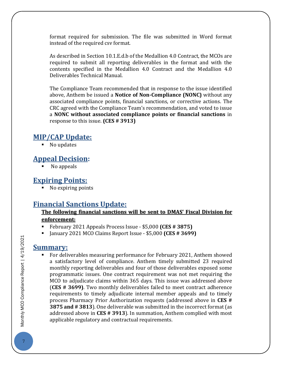format required for submission. The file was submitted in Word format instead of the required csv format.

As described in Section 10.1.E.d.b of the Medallion 4.0 Contract, the MCOs are required to submit all reporting deliverables in the format and with the contents specified in the Medallion 4.0 Contract and the Medallion 4.0 Deliverables Technical Manual.

The Compliance Team recommended that in response to the issue identified above, Anthem be issued a **Notice of Non-Compliance (NONC)** without any associated compliance points, financial sanctions, or corrective actions. The CRC agreed with the Compliance Team's recommendation, and voted to issue a **NONC without associated compliance points or financial sanctions** in response to this issue. **(CES # 3913)**

### **MIP/CAP Update:**

■ No updates

## **Appeal Decision:**

No appeals

### **Expiring Points:**

No expiring points

## **Financial Sanctions Update:**

#### **The following financial sanctions will be sent to DMAS' Fiscal Division for enforcement:**

- February 2021 Appeals Process Issue \$5,000 **(CES # 3875)**
- January 2021 MCO Claims Report Issue \$5,000 **(CES # 3699)**

### **Summary:**

 For deliverables measuring performance for February 2021, Anthem showed a satisfactory level of compliance. Anthem timely submitted 23 required monthly reporting deliverables and four of those deliverables exposed some programmatic issues. One contract requirement was not met requiring the MCO to adjudicate claims within 365 days. This issue was addressed above (**CES # 3699)**. Two monthly deliverables failed to meet contract adherence requirements to timely adjudicate internal member appeals and to timely process Pharmacy Prior Authorization requests (addressed above in **CES # 3875 and # 3813**). One deliverable was submitted in the incorrect format (as addressed above in **CES # 3913**). In summation, Anthem complied with most applicable regulatory and contractual requirements.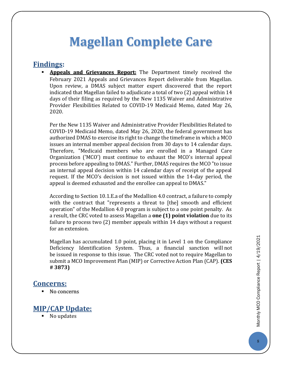# **Magellan Complete Care**

### <span id="page-8-0"></span>**Findings:**

 **Appeals and Grievances Report:** The Department timely received the February 2021 Appeals and Grievances Report deliverable from Magellan. Upon review, a DMAS subject matter expert discovered that the report indicated that Magellan failed to adjudicate a total of two (2) appeal within 14 days of their filing as required by the New 1135 Waiver and Administrative Provider Flexibilities Related to COVID-19 Medicaid Memo, dated May 26, 2020.

Per the New 1135 Waiver and Administrative Provider Flexibilities Related to COVID-19 Medicaid Memo, dated May 26, 2020, the federal government has authorized DMAS to exercise its right to change the timeframe in which a MCO issues an internal member appeal decision from 30 days to 14 calendar days. Therefore, "Medicaid members who are enrolled in a Managed Care Organization ('MCO') must continue to exhaust the MCO's internal appeal process before appealing to DMAS." Further, DMAS requires the MCO "to issue an internal appeal decision within 14 calendar days of receipt of the appeal request. If the MCO's decision is not issued within the 14-day period, the appeal is deemed exhausted and the enrollee can appeal to DMAS."

According to Section 10.1.E.a of the Medallion 4.0 contract, a failure to comply with the contract that "represents a threat to [the] smooth and efficient operation" of the Medallion 4.0 program is subject to a one point penalty. As a result, the CRC voted to assess Magellan a **one (1) point violation** due to its failure to process two (2) member appeals within 14 days without a request for an extension.

Magellan has accumulated 1.0 point, placing it in Level 1 on the Compliance Deficiency Identification System. Thus, a financial sanction will not be issued in response to this issue. The CRC voted not to require Magellan to submit a MCO Improvement Plan (MIP) or Corrective Action Plan (CAP). **(CES # 3873)**

### **Concerns:**

No concerns

### **MIP/CAP Update:**

■ No updates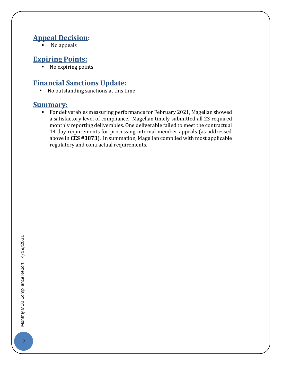## **Appeal Decision:**

No appeals

## **Expiring Points:**

No expiring points

# **Financial Sanctions Update:**

Ko outstanding sanctions at this time

### **Summary:**

 For deliverables measuring performance for February 2021, Magellan showed a satisfactory level of compliance. Magellan timely submitted all 23 required monthly reporting deliverables. One deliverable failed to meet the contractual 14 day requirements for processing internal member appeals (as addressed above in **CES #3873**). In summation, Magellan complied with most applicable regulatory and contractual requirements.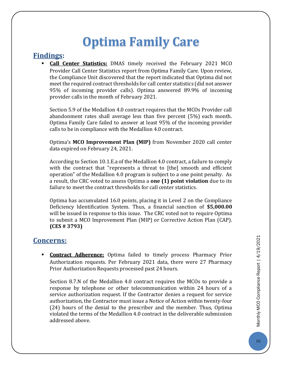# **Optima Family Care**

### <span id="page-10-0"></span>**Findings:**

 **Call Center Statistics:** DMAS timely received the February 2021 MCO Provider Call Center Statistics report from Optima Family Care. Upon review, the Compliance Unit discovered that the report indicated that Optima did not meet the required contract thresholds for call center statistics (did not answer 95% of incoming provider calls). Optima answered 89.9% of incoming provider calls in the month of February 2021.

Section 5.9 of the Medallion 4.0 contract requires that the MCOs Provider call abandonment rates shall average less than five percent (5%) each month. Optima Family Care failed to answer at least 95% of the incoming provider calls to be in compliance with the Medallion 4.0 contract.

Optima's **MCO Improvement Plan (MIP)** from November 2020 call center data expired on February 24, 2021.

According to Section 10.1.E.a of the Medallion 4.0 contract, a failure to comply with the contract that "represents a threat to [the] smooth and efficient operation" of the Medallion 4.0 program is subject to a one point penalty. As a result, the CRC voted to assess Optima a **one (1) point violation** due to its failure to meet the contract thresholds for call center statistics.

Optima has accumulated 16.0 points, placing it in Level 2 on the Compliance Deficiency Identification System. Thus, a financial sanction of **\$5,000.00** will be issued in response to this issue. The CRC voted not to require Optima to submit a MCO Improvement Plan (MIP) or Corrective Action Plan (CAP). **(CES # 3793)**

### **Concerns:**

**Contract Adherence:** Optima failed to timely process Pharmacy Prior Authorization requests. Per February 2021 data, there were 27 Pharmacy Prior Authorization Requests processed past 24 hours.

Section 8.7.N of the Medallion 4.0 contract requires the MCOs to provide a response by telephone or other telecommunication within 24 hours of a service authorization request. If the Contractor denies a request for service authorization, the Contractor must issue a Notice of Action within twenty-four (24) hours of the denial to the prescriber and the member. Thus, Optima violated the terms of the Medallion 4.0 contract in the deliverable submission addressed above.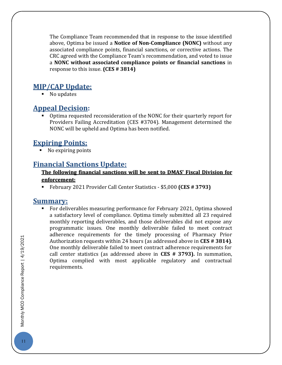The Compliance Team recommended that in response to the issue identified above, Optima be issued a **Notice of Non-Compliance (NONC)** without any associated compliance points, financial sanctions, or corrective actions. The CRC agreed with the Compliance Team's recommendation, and voted to issue a **NONC without associated compliance points or financial sanctions** in response to this issue. **(CES # 3814)**

### **MIP/CAP Update:**

■ No updates

### **Appeal Decision:**

 Optima requested reconsideration of the NONC for their quarterly report for Providers Failing Accreditation (CES #3704). Management determined the NONC will be upheld and Optima has been notified.

### **Expiring Points:**

No expiring points

### **Financial Sanctions Update:**

#### **The following financial sanctions will be sent to DMAS' Fiscal Division for enforcement:**

February 2021 Provider Call Center Statistics - \$5,000 **(CES # 3793)**

#### **Summary:**

 For deliverables measuring performance for February 2021, Optima showed a satisfactory level of compliance. Optima timely submitted all 23 required monthly reporting deliverables, and those deliverables did not expose any programmatic issues. One monthly deliverable failed to meet contract adherence requirements for the timely processing of Pharmacy Prior Authorization requests within 24 hours (as addressed above in **CES # 3814)**. One monthly deliverable failed to meet contract adherence requirements for call center statistics (as addressed above in **CES # 3793).** In summation, Optima complied with most applicable regulatory and contractual requirements.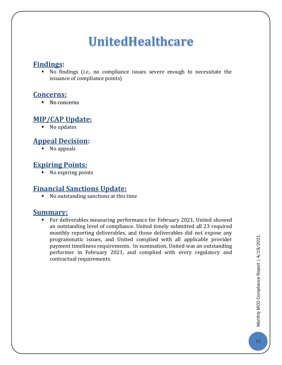# **UnitedHealthcare**

### <span id="page-12-0"></span>**Findings:**

 No findings (*i.e.*, no compliance issues severe enough to necessitate the issuance of compliance points)

### **Concerns:**

• No concerns

### **MIP/CAP Update:**

■ No updates

# **Appeal Decision:**

 $\blacksquare$  No appeals

### **Expiring Points:**

No expiring points

### **Financial Sanctions Update:**

No outstanding sanctions at this time

### **Summary:**

 For deliverables measuring performance for February 2021, United showed an outstanding level of compliance. United timely submitted all 23 required monthly reporting deliverables, and those deliverables did not expose any programmatic issues, and United complied with all applicable provider payment timeliness requirements. In summation, United was an outstanding performer in February 2021, and complied with every regulatory and contractual requirements.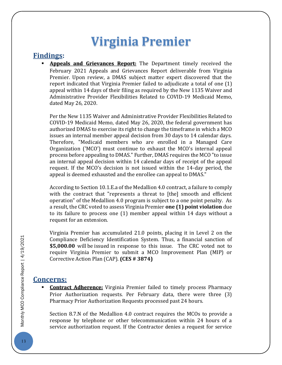# **Virginia Premier**

### <span id="page-13-0"></span>**Findings:**

 **Appeals and Grievances Report:** The Department timely received the February 2021 Appeals and Grievances Report deliverable from Virginia Premier. Upon review, a DMAS subject matter expert discovered that the report indicated that Virginia Premier failed to adjudicate a total of one (1) appeal within 14 days of their filing as required by the New 1135 Waiver and Administrative Provider Flexibilities Related to COVID-19 Medicaid Memo, dated May 26, 2020.

Per the New 1135 Waiver and Administrative Provider Flexibilities Related to COVID-19 Medicaid Memo, dated May 26, 2020, the federal government has authorized DMAS to exercise its right to change the timeframe in which a MCO issues an internal member appeal decision from 30 days to 14 calendar days. Therefore, "Medicaid members who are enrolled in a Managed Care Organization ('MCO') must continue to exhaust the MCO's internal appeal process before appealing to DMAS." Further, DMAS requires the MCO "to issue an internal appeal decision within 14 calendar days of receipt of the appeal request. If the MCO's decision is not issued within the 14-day period, the appeal is deemed exhausted and the enrollee can appeal to DMAS."

According to Section 10.1.E.a of the Medallion 4.0 contract, a failure to comply with the contract that "represents a threat to [the] smooth and efficient operation" of the Medallion 4.0 program is subject to a one point penalty. As a result, the CRC voted to assess Virginia Premier **one (1) point violation** due to its failure to process one (1) member appeal within 14 days without a request for an extension.

Virginia Premier has accumulated 21.0 points, placing it in Level 2 on the Compliance Deficiency Identification System. Thus, a financial sanction of **\$5,000.00** will be issued in response to this issue. The CRC voted not to require Virginia Premier to submit a MCO Improvement Plan (MIP) or Corrective Action Plan (CAP). **(CES # 3874)**

### **Concerns:**

 **Contract Adherence:** Virginia Premier failed to timely process Pharmacy Prior Authorization requests. Per February data, there were three (3) Pharmacy Prior Authorization Requests processed past 24 hours.

Section 8.7.N of the Medallion 4.0 contract requires the MCOs to provide a response by telephone or other telecommunication within 24 hours of a service authorization request. If the Contractor denies a request for service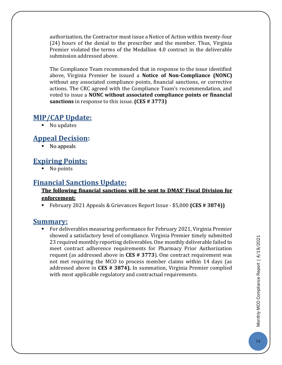authorization, the Contractor must issue a Notice of Action within twenty-four (24) hours of the denial to the prescriber and the member. Thus, Virginia Premier violated the terms of the Medallion 4.0 contract in the deliverable submission addressed above.

The Compliance Team recommended that in response to the issue identified above, Virginia Premier be issued a **Notice of Non-Compliance (NONC)** without any associated compliance points, financial sanctions, or corrective actions. The CRC agreed with the Compliance Team's recommendation, and voted to issue a **NONC without associated compliance points or financial sanctions** in response to this issue. **(CES # 3773)**

#### **MIP/CAP Update:**

■ No updates

### **Appeal Decision:**

• No appeals

### **Expiring Points:**

No points

#### **Financial Sanctions Update:**

#### **The following financial sanctions will be sent to DMAS' Fiscal Division for enforcement:**

February 2021 Appeals & Grievances Report Issue - \$5,000 **(CES # 3874))**

#### **Summary:**

 For deliverables measuring performance for February 2021, Virginia Premier showed a satisfactory level of compliance. Virginia Premier timely submitted 23 required monthly reporting deliverables. One monthly deliverable failed to meet contract adherence requirements for Pharmacy Prior Authorization request (as addressed above in **CES # 3773**). One contract requirement was not met requiring the MCO to process member claims within 14 days (as addressed above in **CES # 3874).** In summation, Virginia Premier complied with most applicable regulatory and contractual requirements.